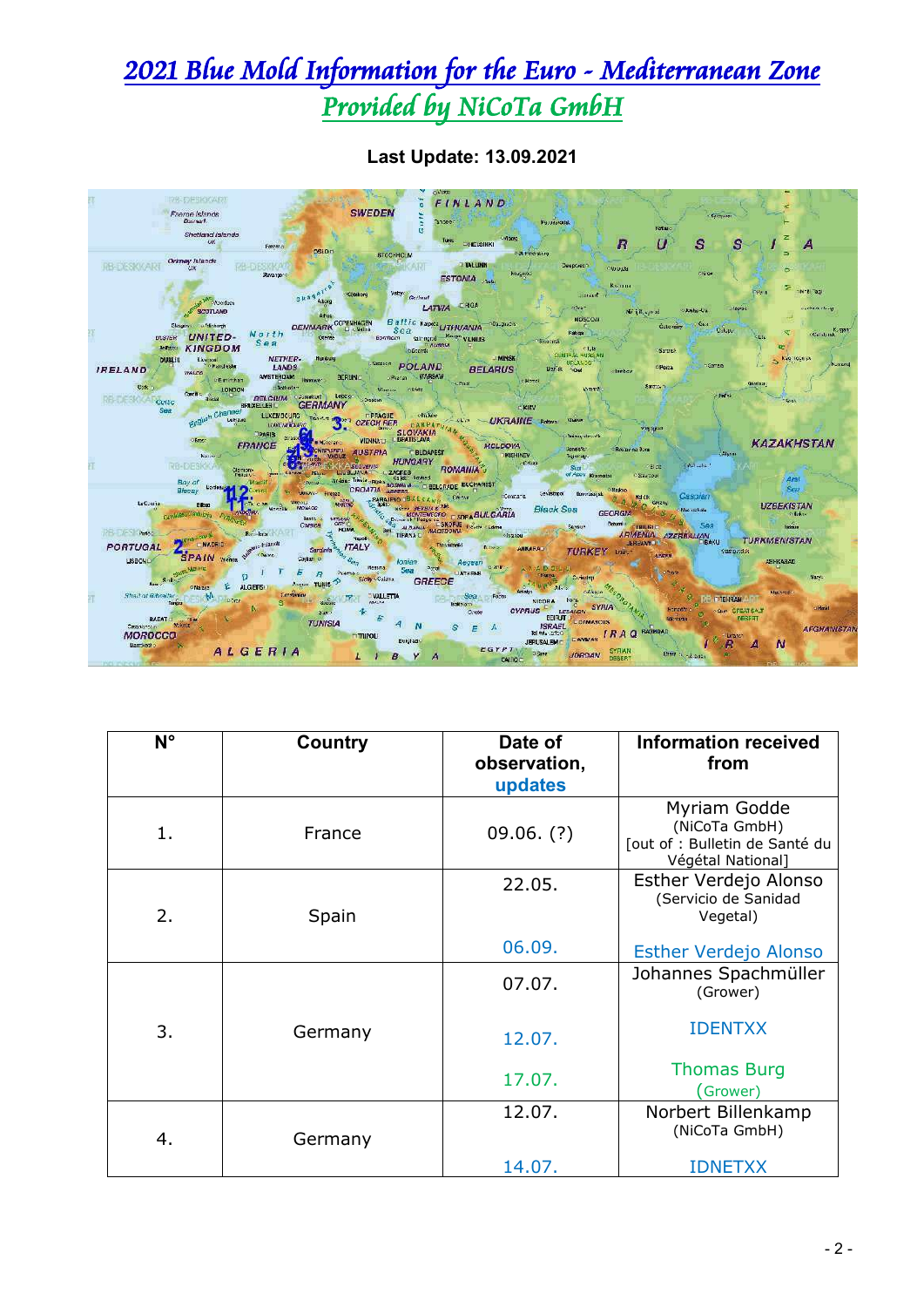## 2021 Blue Mold Information for the Euro - Mediterranean Zone Provided by NiCoTa GmbH



**Last Update: 13.09.2021**

| $N^{\circ}$ | <b>Country</b> | Date of<br>observation,<br>updates | <b>Information received</b><br>from                                                  |
|-------------|----------------|------------------------------------|--------------------------------------------------------------------------------------|
| 1.          | France         | $09.06.$ (?)                       | Myriam Godde<br>(NiCoTa GmbH)<br>[out of : Bulletin de Santé du<br>Végétal National] |
| 2.          | Spain          | 22.05.                             | Esther Verdejo Alonso<br>(Servicio de Sanidad<br>Vegetal)                            |
|             |                | 06.09.                             | <b>Esther Verdejo Alonso</b>                                                         |
|             |                | 07.07.                             | Johannes Spachmüller<br>(Grower)                                                     |
| 3.          | Germany        | 12.07.                             | <b>IDENTXX</b>                                                                       |
|             |                | 17.07.                             | <b>Thomas Burg</b><br>(Grower)                                                       |
| 4.          | Germany        | 12.07.                             | Norbert Billenkamp<br>(NiCoTa GmbH)                                                  |
|             |                | 14.07.                             | <b>IDNETXX</b>                                                                       |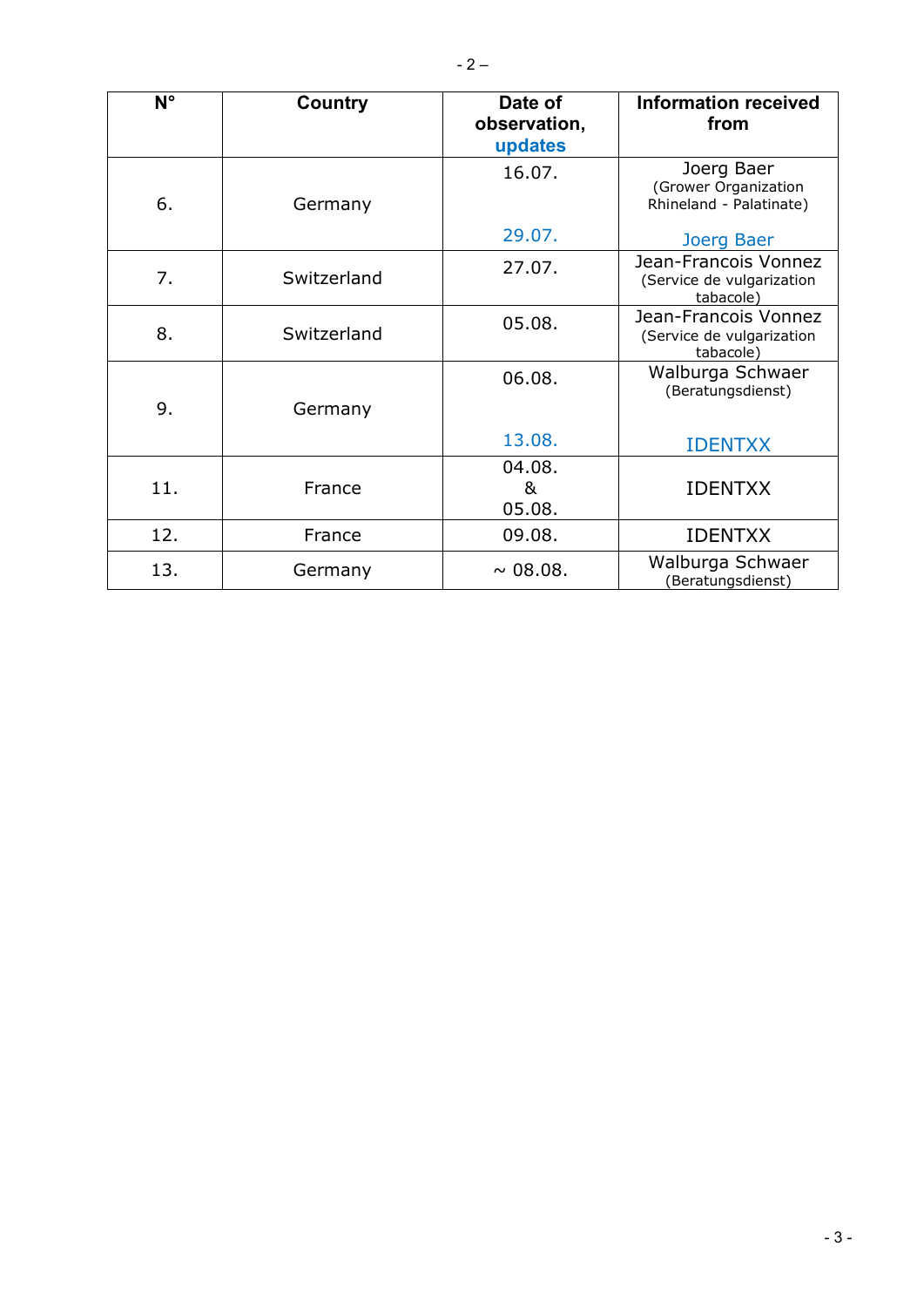| $N^{\circ}$ | Country     | Date of<br>observation,<br>updates | Information received<br>from                                   |  |  |  |
|-------------|-------------|------------------------------------|----------------------------------------------------------------|--|--|--|
| 6.          | Germany     | 16.07.                             | Joerg Baer<br>(Grower Organization<br>Rhineland - Palatinate)  |  |  |  |
|             |             | 29.07.                             | Joerg Baer                                                     |  |  |  |
| 7.          | Switzerland | 27.07.                             | Jean-Francois Vonnez<br>(Service de vulgarization<br>tabacole) |  |  |  |
| 8.          | Switzerland | 05.08.                             | Jean-Francois Vonnez<br>(Service de vulgarization<br>tabacole) |  |  |  |
| 9.          | Germany     | 06.08.                             | Walburga Schwaer<br>(Beratungsdienst)                          |  |  |  |
|             |             | 13.08.                             | <b>IDENTXX</b>                                                 |  |  |  |
| 11.         | France      | 04.08.<br>&<br>05.08.              | <b>IDENTXX</b>                                                 |  |  |  |
| 12.         | France      | 09.08.                             | <b>IDENTXX</b>                                                 |  |  |  |
| 13.         | Germany     | $\sim 08.08$ .                     | Walburga Schwaer<br>(Beratungsdienst)                          |  |  |  |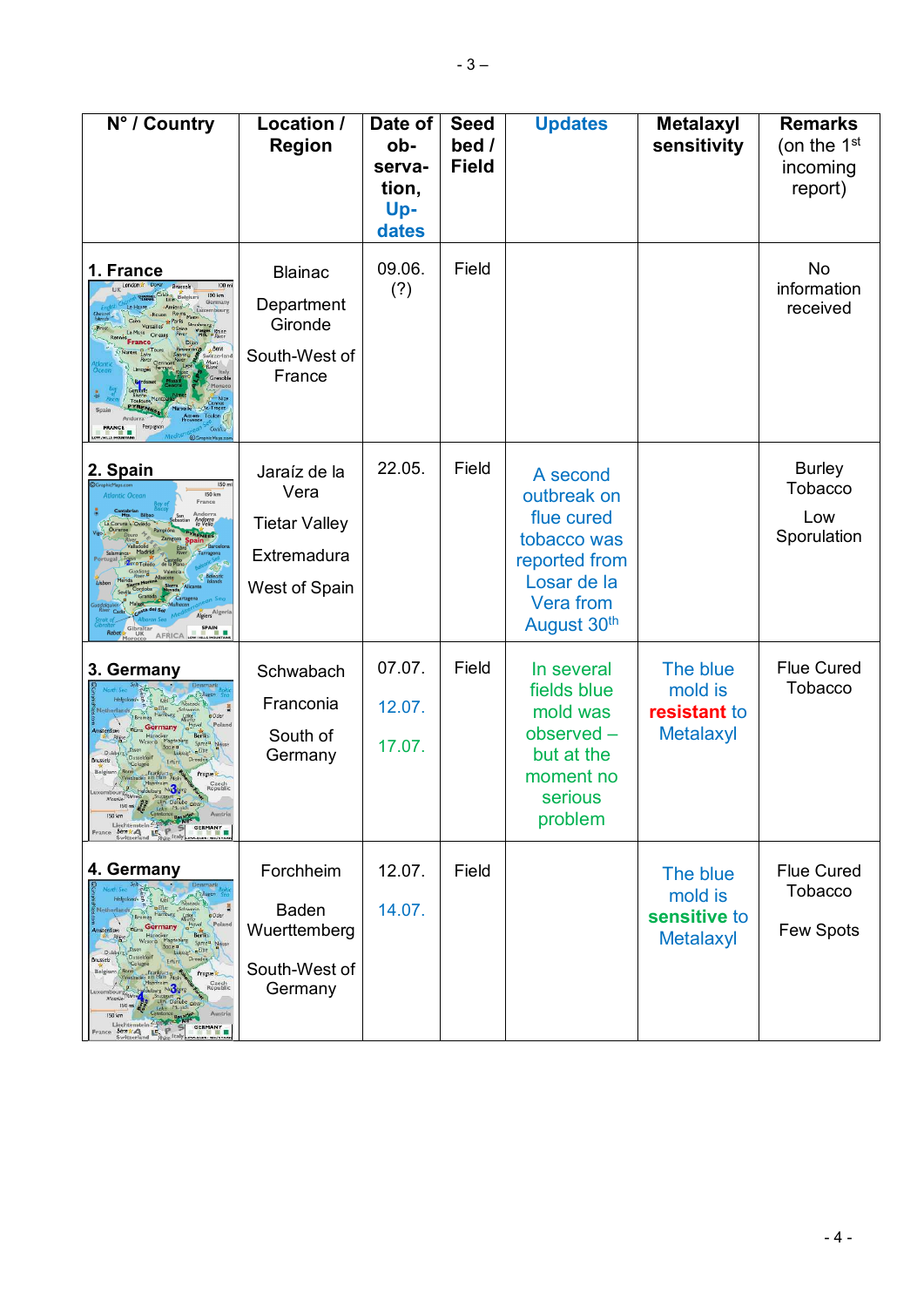| N° / Country                                                                                                                                                                                                                                                                                                                                                                                                                                                                                                                   | Location /<br><b>Region</b>                                                  | Date of<br>ob-<br>serva-<br>tion,<br>Up-<br>dates | <b>Seed</b><br>bed /<br><b>Field</b> | <b>Updates</b>                                                                                                   | <b>Metalaxyl</b><br>sensitivity                         | <b>Remarks</b><br>(on the $1st$<br>incoming<br>report) |
|--------------------------------------------------------------------------------------------------------------------------------------------------------------------------------------------------------------------------------------------------------------------------------------------------------------------------------------------------------------------------------------------------------------------------------------------------------------------------------------------------------------------------------|------------------------------------------------------------------------------|---------------------------------------------------|--------------------------------------|------------------------------------------------------------------------------------------------------------------|---------------------------------------------------------|--------------------------------------------------------|
| 1. France<br>100 m<br><b>Brussels</b><br>100 km<br><b>Bolgium</b><br>uxembours<br>Mes. Physics<br>Bern<br><i>ritzerla</i><br><b>FRANCE</b>                                                                                                                                                                                                                                                                                                                                                                                     | <b>Blainac</b><br>Department<br>Gironde<br>South-West of<br>France           | 09.06.<br>(?)                                     | Field                                |                                                                                                                  |                                                         | No<br>information<br>received                          |
| 2. Spain<br>150 m<br><b>150 km</b><br>Atlantic Ocean<br>France<br>Andorra<br>la Vella<br>Algiers <sup>Algeri</sup><br><b>SPAIN</b><br><b>The Contract of the Contract of the Contract of the Contract of the Contract of the Contract of the Contract of the Contract of the Contract of the Contract of the Contract of the Contract of the Contract of the Contract </b><br><b>AFRICA</b>                                                                                                                                    | Jaraíz de la<br>Vera<br><b>Tietar Valley</b><br>Extremadura<br>West of Spain | 22.05.                                            | Field                                | A second<br>outbreak on<br>flue cured<br>tobacco was<br>reported from<br>Losar de la<br>Vera from<br>August 30th |                                                         | <b>Burley</b><br>Tobacco<br>Low<br>Sporulation         |
| 3. Germany<br>a0der<br>Polan<br>Neisse<br><b>Brussels</b><br>Belgium<br>Prague<br>Czech<br>Republic<br>Heldeberg Nuckerg<br>Shine<br>Men Stuttgart<br>Austria<br>Liechtenstein Zusing 2<br>$\frac{16}{B}$ P S<br><b>GERMANY</b><br>France Bernica                                                                                                                                                                                                                                                                              | Schwabach<br>Franconia<br>South of<br>Germany                                | 07.07.<br>12.07.<br>17.07.                        | Field                                | In several<br>fields blue<br>mold was<br>observed -<br>but at the<br>moment no<br>serious<br>problem             | The blue<br>mold is<br>resistant to<br><b>Metalaxyl</b> | <b>Flue Cured</b><br>Tobacco                           |
| 4. Germany<br>$K$ ar $\sum$<br><b>BElbe</b><br>Schwerin<br>latherlands<br><b>Hamburg</b><br><b>a</b> Oder<br>Polar<br>Germany<br><b>Amsterdam</b><br><b>Berlin</b><br>Hannove<br>Spree <sup>a</sup> Neise<br>$E$ be<br>Duis<br>Dusseldorf<br>Dresden F<br><b>Brussels</b><br>Erfurt<br>"Cclogne<br>Belgium<br>Progue<br>Frankfulto<br>Czech<br>Republic<br>Nucera<br><b>Schina</b><br>Moselle<br>150 m<br>Munic<br>Austria<br>150 km<br>Liechtenstein Zugsprze<br>GERMANY<br>France Bernical Life P<br>Switzerland Bylin Italy | Forchheim<br><b>Baden</b><br>Wuerttemberg<br>South-West of<br>Germany        | 12.07.<br>14.07.                                  | Field                                |                                                                                                                  | The blue<br>mold is<br>sensitive to<br><b>Metalaxyl</b> | <b>Flue Cured</b><br><b>Tobacco</b><br>Few Spots       |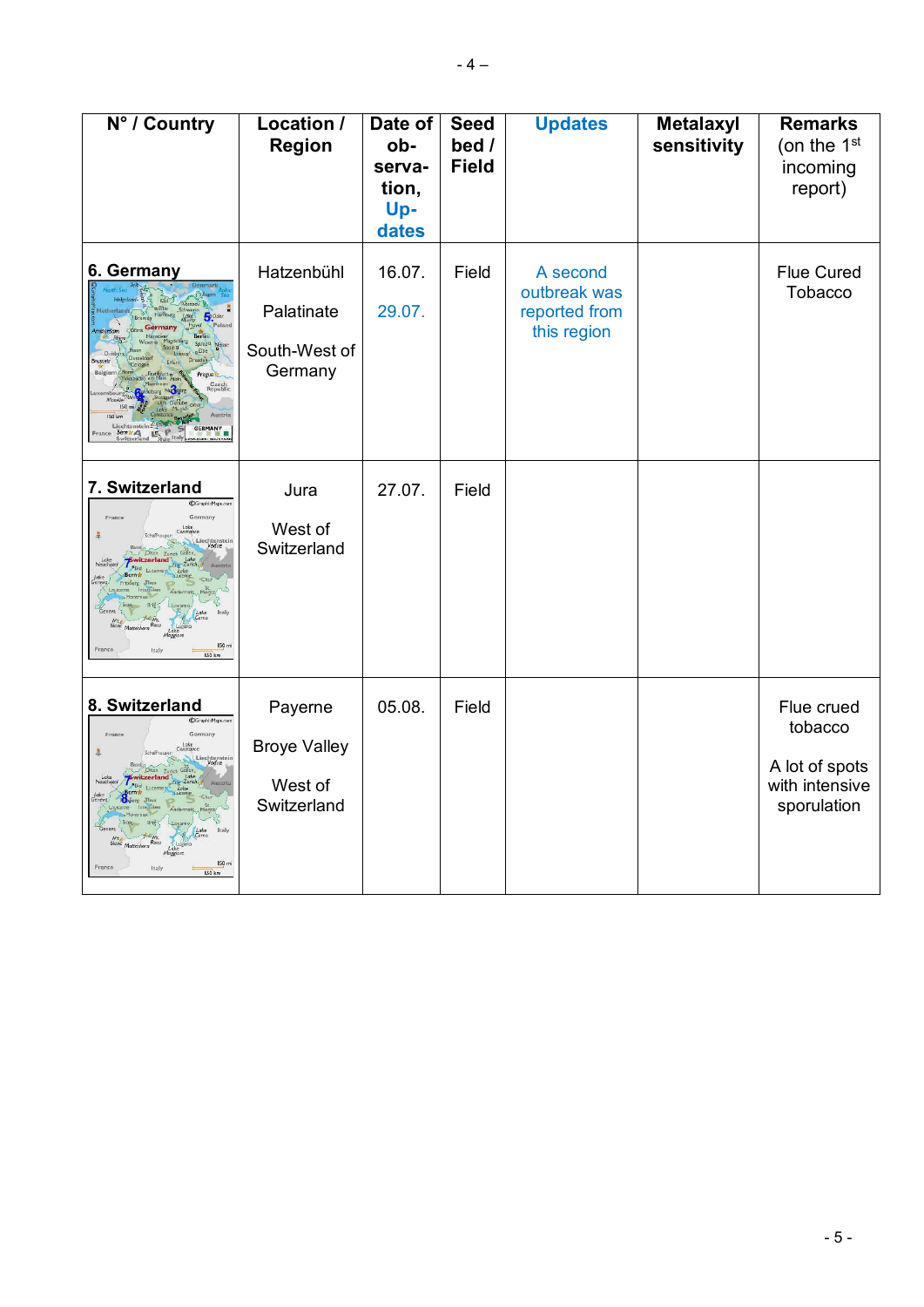| N° / Country                                                                                                        | Location /<br><b>Region</b>                              | Date of<br>ob-<br>serva-<br>tion,<br>Up-<br>dates | <b>Seed</b><br>bed /<br><b>Field</b> | <b>Updates</b>                                           | Metalaxyl<br>sensitivity | <b>Remarks</b><br>(on the 1 <sup>st</sup><br>incoming<br>report)         |
|---------------------------------------------------------------------------------------------------------------------|----------------------------------------------------------|---------------------------------------------------|--------------------------------------|----------------------------------------------------------|--------------------------|--------------------------------------------------------------------------|
| 6. Germany<br><b>Sp</b> Oder<br>Prague<br>Czech<br>enubli<br>Liechtenstein<br><b>GERMANY</b><br>IR.                 | Hatzenbühl<br>Palatinate<br>South-West of<br>Germany     | 16.07.<br>29.07.                                  | Field                                | A second<br>outbreak was<br>reported from<br>this region |                          | <b>Flue Cured</b><br>Tobacco                                             |
| 7. Switzerland<br>@GraphicMaps.co<br>Germany<br>Franci<br>Lake<br>nstanc<br>Liechtenstei<br>150r<br>Italy<br>ISO km | Jura<br>West of<br>Switzerland                           | 27.07.                                            | Field                                |                                                          |                          |                                                                          |
| 8. Switzerland<br>@GraphicMaps.com<br>Germany<br>France<br>Lake<br>Constance<br>Liechtenstei<br>150r<br>Italy       | Payerne<br><b>Broye Valley</b><br>West of<br>Switzerland | 05.08.                                            | Field                                |                                                          |                          | Flue crued<br>tobacco<br>A lot of spots<br>with intensive<br>sporulation |